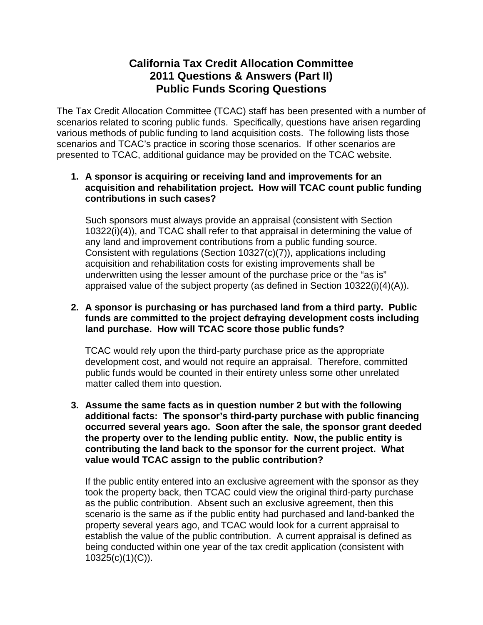## **California Tax Credit Allocation Committee 2011 Questions & Answers (Part II) Public Funds Scoring Questions**

The Tax Credit Allocation Committee (TCAC) staff has been presented with a number of scenarios related to scoring public funds. Specifically, questions have arisen regarding various methods of public funding to land acquisition costs. The following lists those scenarios and TCAC's practice in scoring those scenarios. If other scenarios are presented to TCAC, additional guidance may be provided on the TCAC website.

## **1. A sponsor is acquiring or receiving land and improvements for an acquisition and rehabilitation project. How will TCAC count public funding contributions in such cases?**

Such sponsors must always provide an appraisal (consistent with Section 10322(i)(4)), and TCAC shall refer to that appraisal in determining the value of any land and improvement contributions from a public funding source. Consistent with regulations (Section 10327(c)(7)), applications including acquisition and rehabilitation costs for existing improvements shall be underwritten using the lesser amount of the purchase price or the "as is" appraised value of the subject property (as defined in Section 10322(i)(4)(A)).

## **2. A sponsor is purchasing or has purchased land from a third party. Public funds are committed to the project defraying development costs including land purchase. How will TCAC score those public funds?**

TCAC would rely upon the third-party purchase price as the appropriate development cost, and would not require an appraisal. Therefore, committed public funds would be counted in their entirety unless some other unrelated matter called them into question.

**3. Assume the same facts as in question number 2 but with the following additional facts: The sponsor's third-party purchase with public financing occurred several years ago. Soon after the sale, the sponsor grant deeded the property over to the lending public entity. Now, the public entity is contributing the land back to the sponsor for the current project. What value would TCAC assign to the public contribution?** 

If the public entity entered into an exclusive agreement with the sponsor as they took the property back, then TCAC could view the original third-party purchase as the public contribution. Absent such an exclusive agreement, then this scenario is the same as if the public entity had purchased and land-banked the property several years ago, and TCAC would look for a current appraisal to establish the value of the public contribution. A current appraisal is defined as being conducted within one year of the tax credit application (consistent with 10325(c)(1)(C)).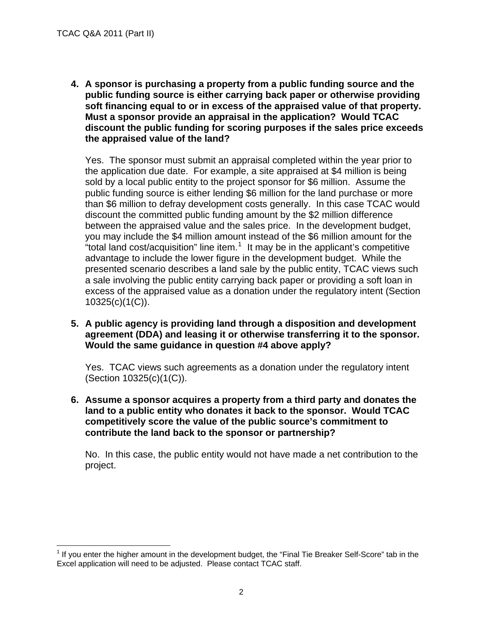1

**4. A sponsor is purchasing a property from a public funding source and the public funding source is either carrying back paper or otherwise providing soft financing equal to or in excess of the appraised value of that property. Must a sponsor provide an appraisal in the application? Would TCAC discount the public funding for scoring purposes if the sales price exceeds the appraised value of the land?** 

Yes. The sponsor must submit an appraisal completed within the year prior to the application due date. For example, a site appraised at \$4 million is being sold by a local public entity to the project sponsor for \$6 million. Assume the public funding source is either lending \$6 million for the land purchase or more than \$6 million to defray development costs generally. In this case TCAC would discount the committed public funding amount by the \$2 million difference between the appraised value and the sales price. In the development budget, you may include the \$4 million amount instead of the \$6 million amount for the "total land cost/acquisition" line item. $1$  It may be in the applicant's competitive advantage to include the lower figure in the development budget. While the presented scenario describes a land sale by the public entity, TCAC views such a sale involving the public entity carrying back paper or providing a soft loan in excess of the appraised value as a donation under the regulatory intent (Section 10325(c)(1(C)).

**5. A public agency is providing land through a disposition and development agreement (DDA) and leasing it or otherwise transferring it to the sponsor. Would the same guidance in question #4 above apply?** 

Yes. TCAC views such agreements as a donation under the regulatory intent (Section 10325(c)(1(C)).

**6. Assume a sponsor acquires a property from a third party and donates the land to a public entity who donates it back to the sponsor. Would TCAC competitively score the value of the public source's commitment to contribute the land back to the sponsor or partnership?** 

No. In this case, the public entity would not have made a net contribution to the project.

<span id="page-1-0"></span> $1$  If you enter the higher amount in the development budget, the "Final Tie Breaker Self-Score" tab in the Excel application will need to be adjusted. Please contact TCAC staff.